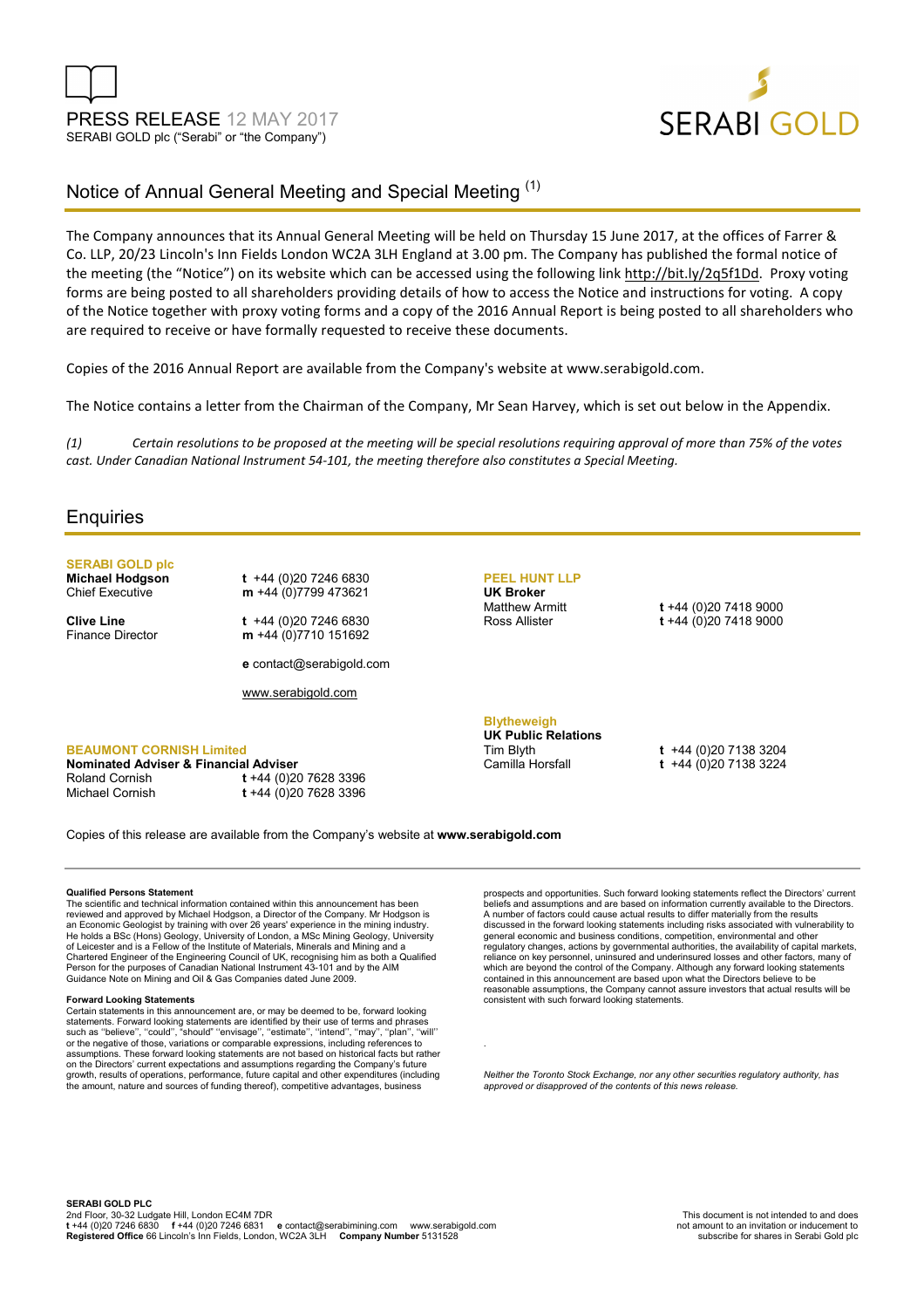



# Notice of Annual General Meeting and Special Meeting (1)

The Company announces that its Annual General Meeting will be held on Thursday 15 June 2017, at the offices of Farrer & Co. LLP, 20/23 Lincoln's Inn Fields London WC2A 3LH England at 3.00 pm. The Company has published the formal notice of the meeting (the "Notice") on its website which can be accessed using the following link http://bit.ly/2q5f1Dd. Proxy voting forms are being posted to all shareholders providing details of how to access the Notice and instructions for voting. A copy of the Notice together with proxy voting forms and a copy of the 2016 Annual Report is being posted to all shareholders who are required to receive or have formally requested to receive these documents.

Copies of the 2016 Annual Report are available from the Company's website at www.serabigold.com.

The Notice contains a letter from the Chairman of the Company, Mr Sean Harvey, which is set out below in the Appendix.

*(1) Certain resolutions to be proposed at the meeting will be special resolutions requiring approval of more than 75% of the votes cast. Under Canadian National Instrument 54-101, the meeting therefore also constitutes a Special Meeting.* 

# **Enquiries**

# **SERABI GOLD plc**

**Michael Hodgson t** +44 (0)20 7246 6830<br>Chief Executive **m** +44 (0)7799 473621 m +44 (0)7799 473621

**Clive Line** t +44 (0)20 7246 6830<br>Finance Director **m** +44 (0)7710 151692 m +44 (0)7710 151692

**e** contact@serabigold.com

www.serabigold.com

# **BEAUMONT CORNISH Limited**

**Nominated Adviser & Financial Adviser**  Roland Cornish **t** +44 (0)20 7628 3396 Michael Cornish **t** +44 (0)20 7628 3396

# **PEEL HUNT LLP UK Broker**

Matthew Armitt **t** +44 (0)20 7418 9000 Ross Allister **t** +44 (0)20 7418 9000

## **Blytheweigh**

**UK Public Relations** 

.

Tim Blyth **t** +44 (0)20 7138 3204 Camilla Horsfall **t** +44 (0)20 7138 3224

Copies of this release are available from the Company's website at **www.serabigold.com** 

#### **Qualified Persons Statement**

The scientific and technical information contained within this announcement has been reviewed and approved by Michael Hodgson, a Director of the Company. Mr Hodgson is<br>an Economic Geologist by training with over 26 years' experience in the mining industry.<br>He holds a BSc (Hons) Geology, University of Lond Chartered Engineer of the Engineering Council of UK, recognising him as both a Qualified Person for the purposes of Canadian National Instrument 43-101 and by the AIM Guidance Note on Mining and Oil & Gas Companies dated June 2009.

#### **Forward Looking Statements**

Certain statements in this announcement are, or may be deemed to be, forward looking statements. Forward looking statements are identified by their use of terms and phrases such as ''believe'', ''could'', "should" ''envisage'', ''estimate'', ''intend'', ''may'', ''plan'', ''will'' or the negative of those, variations or comparable expressions, including references to assumptions. These forward looking statements are not based on historical facts but rather on the Directors' current expectations and assumptions regarding the Company's future growth, results of operations, performance, future capital and other expenditures (including the amount, nature and sources of funding thereof), competitive advantages, business

prospects and opportunities. Such forward looking statements reflect the Directors' current beliefs and assumptions and are based on information currently available to the Directors. A number of factors could cause actual results to differ materially from the results discussed in the forward looking statements including risks associated with vulnerability to general economic and business conditions, competition, environmental and other regulatory changes, actions by governmental authorities, the availability of capital markets, reliance on key personnel, uninsured and underinsured losses and other factors, many of which are beyond the control of the Company. Although any forward looking statements contained in this announcement are based upon what the Directors believe to be reasonable assumptions, the Company cannot assure investors that actual results will be consistent with such forward looking statements.

*Neither the Toronto Stock Exchange, nor any other securities regulatory authority, has approved or disapproved of the contents of this news release.*